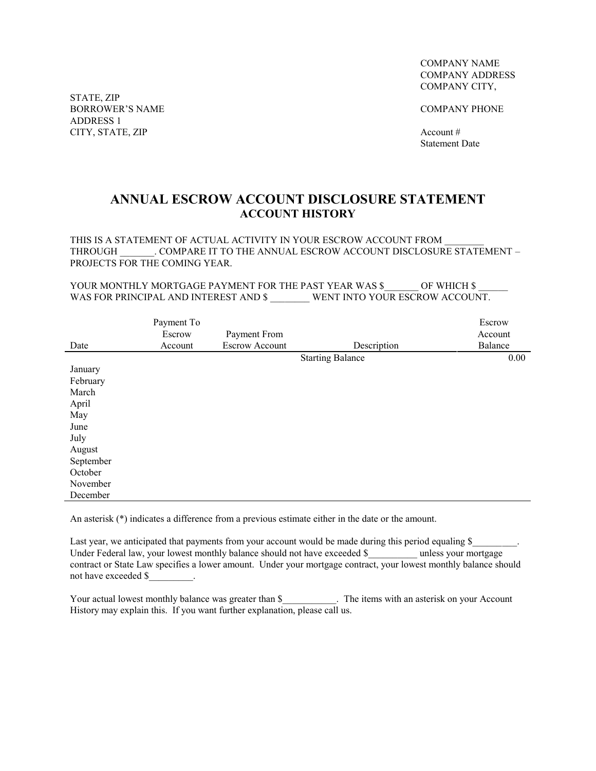STATE, ZIP BORROWER'S NAME COMPANY PHONE ADDRESS 1 CITY, STATE, ZIP Account #

COMPANY NAME COMPANY ADDRESS COMPANY CITY,

Statement Date

## **ANNUAL ESCROW ACCOUNT DISCLOSURE STATEMENT ACCOUNT HISTORY**

THIS IS A STATEMENT OF ACTUAL ACTIVITY IN YOUR ESCROW ACCOUNT FROM THROUGH COMPARE IT TO THE ANNUAL ESCROW ACCOUNT DISCLOSURE STATEMENT – PROJECTS FOR THE COMING YEAR.

YOUR MONTHLY MORTGAGE PAYMENT FOR THE PAST YEAR WAS \$ \_\_\_\_\_\_ OF WHICH \$ WAS FOR PRINCIPAL AND INTEREST AND \$ \_\_\_\_\_\_\_\_ WENT INTO YOUR ESCROW ACCOUNT.

|           | Payment To |                       |                         | Escrow  |
|-----------|------------|-----------------------|-------------------------|---------|
|           | Escrow     | Payment From          |                         | Account |
| Date      | Account    | <b>Escrow Account</b> | Description             | Balance |
|           |            |                       | <b>Starting Balance</b> | 0.00    |
| January   |            |                       |                         |         |
| February  |            |                       |                         |         |
| March     |            |                       |                         |         |
| April     |            |                       |                         |         |
| May       |            |                       |                         |         |
| June      |            |                       |                         |         |
| July      |            |                       |                         |         |
| August    |            |                       |                         |         |
| September |            |                       |                         |         |
| October   |            |                       |                         |         |
| November  |            |                       |                         |         |
| December  |            |                       |                         |         |

An asterisk (\*) indicates a difference from a previous estimate either in the date or the amount.

Last year, we anticipated that payments from your account would be made during this period equaling \$ Under Federal law, your lowest monthly balance should not have exceeded \$\_\_\_\_\_\_\_\_\_\_ unless your mortgage contract or State Law specifies a lower amount. Under your mortgage contract, your lowest monthly balance should not have exceeded \$

Your actual lowest monthly balance was greater than \$\_\_\_\_\_\_\_\_\_\_\_. The items with an asterisk on your Account History may explain this. If you want further explanation, please call us.